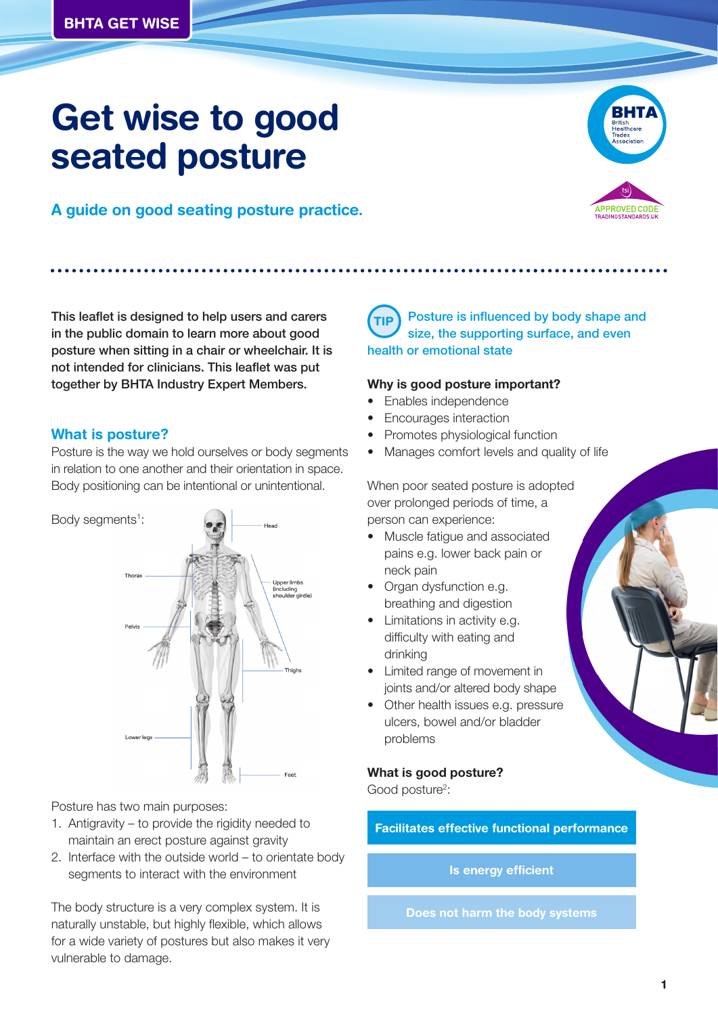# **Get wise to good seated posture**





**ROVED COL** 

This leaflet is designed to help users and carers in the public domain to learn more about good posture when sitting in a chair or wheelchair. It is not intended for clinicians. This leaflet was put together by BHTA Industry Expert Members.

# **What is posture?**

Posture is the way we hold ourselves or body segments in relation to one another and their orientation in space. Body positioning can be intentional or unintentional.



Posture has two main purposes:

- 1. Antigravity to provide the rigidity needed to maintain an erect posture against gravity
- 2. Interface with the outside world to orientate body segments to interact with the environment

The body structure is a very complex system. It is naturally unstable, but highly flexible, which allows for a wide variety of postures but also makes it very vulnerable to damage.

#### Posture is influenced by body shape and size, the supporting surface, and even health or emotional state **TIP**

#### **Why is good posture important?**

- Enables independence
- Encourages interaction
- Promotes physiological function
- Manages comfort levels and quality of life

When poor seated posture is adopted over prolonged periods of time, a person can experience:

- Muscle fatigue and associated pains e.g. lower back pain or neck pain
- Organ dysfunction e.g. breathing and digestion
- Limitations in activity e.g. difficulty with eating and drinking
- Limited range of movement in joints and/or altered body shape
- Other health issues e.g. pressure ulcers, bowel and/or bladder problems

# **What is good posture?**

Good posture<sup>2</sup>:

**Facilitates effective functional performance**

### **Is energy efficient**

**Does not harm the body systems**